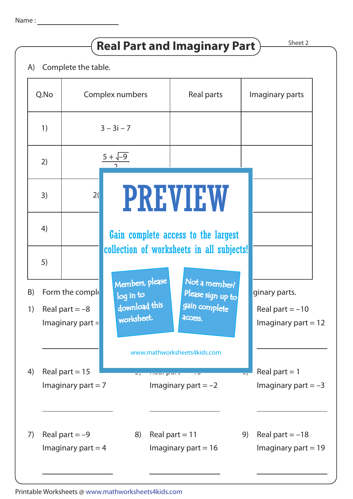## **Real Part and Imaginary Part**  $\overline{\phantom{1}}$ <sup>Sheet 2</sup>



|          | Q.No |                                                          | Complex numbers                                             | Real parts                                                                 |    | Imaginary parts                                             |  |
|----------|------|----------------------------------------------------------|-------------------------------------------------------------|----------------------------------------------------------------------------|----|-------------------------------------------------------------|--|
|          | 1)   |                                                          | $3 - 3i - 7$                                                |                                                                            |    |                                                             |  |
|          | 2)   |                                                          | $5 + \sqrt{-9}$                                             |                                                                            |    |                                                             |  |
|          | 3)   | 2(                                                       |                                                             | PREVIEW                                                                    |    |                                                             |  |
|          | 4)   |                                                          |                                                             | Gain complete access to the largest                                        |    |                                                             |  |
|          | 5)   |                                                          |                                                             | collection of worksheets in all subjects!                                  |    |                                                             |  |
| B)<br>1) |      | Form the comple<br>Real part $=-8$<br>Imaginary part $=$ | Members, please<br>log in to<br>download this<br>worksheet. | Not a member?<br>Please sign up to<br>gain complete<br><b>ACCESS.</b>      |    | ginary parts.<br>Real part $= -10$<br>Imaginary part $= 12$ |  |
| 4)       |      | Real part = $15$<br>Imaginary part $= 7$                 | $\overline{\phantom{a}}$                                    | www.mathworksheets4kids.com<br><b>INVALIZATION</b><br>Imaginary part $=-2$ |    | Real part $= 1$<br>Imaginary part $=-3$                     |  |
| 7)       |      | Real part $=-9$<br>Imaginary part $=$ 4                  | 8)                                                          | Real part = $11$<br>Imaginary part $= 16$                                  | 9) | Real part $=-18$<br>Imaginary part $= 19$                   |  |

Printable Worksheets @ www.mathworksheets4kids.com